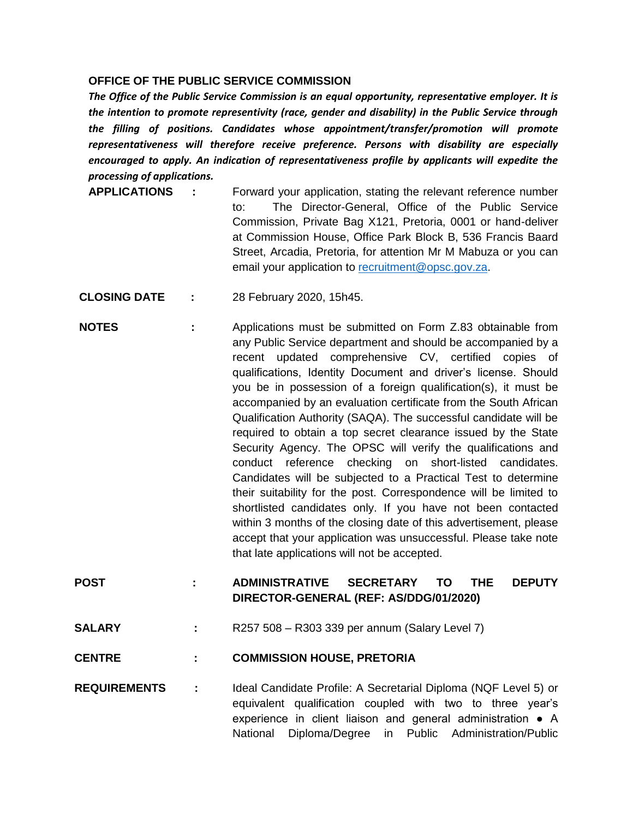## **OFFICE OF THE PUBLIC SERVICE COMMISSION**

*The Office of the Public Service Commission is an equal opportunity, representative employer. It is the intention to promote representivity (race, gender and disability) in the Public Service through the filling of positions. Candidates whose appointment/transfer/promotion will promote representativeness will therefore receive preference. Persons with disability are especially encouraged to apply. An indication of representativeness profile by applicants will expedite the processing of applications.* 

- **APPLICATIONS :** Forward your application, stating the relevant reference number to: The Director-General, Office of the Public Service Commission, Private Bag X121, Pretoria, 0001 or hand-deliver at Commission House, Office Park Block B, 536 Francis Baard Street, Arcadia, Pretoria, for attention Mr M Mabuza or you can email your application to [recruitment@opsc.gov.za.](mailto:recruitment@opsc.gov.za)
- **CLOSING DATE :** 28 February 2020, 15h45.
- **NOTES** : Applications must be submitted on Form Z.83 obtainable from any Public Service department and should be accompanied by a recent updated comprehensive CV, certified copies of qualifications, Identity Document and driver's license. Should you be in possession of a foreign qualification(s), it must be accompanied by an evaluation certificate from the South African Qualification Authority (SAQA). The successful candidate will be required to obtain a top secret clearance issued by the State Security Agency. The OPSC will verify the qualifications and conduct reference checking on short-listed candidates. Candidates will be subjected to a Practical Test to determine their suitability for the post. Correspondence will be limited to shortlisted candidates only. If you have not been contacted within 3 months of the closing date of this advertisement, please accept that your application was unsuccessful. Please take note that late applications will not be accepted.
- **POST : ADMINISTRATIVE SECRETARY TO THE DEPUTY DIRECTOR-GENERAL (REF: AS/DDG/01/2020)**
- **SALARY :** R257 508 R303 339 per annum (Salary Level 7)
- **CENTRE : COMMISSION HOUSE, PRETORIA**
- **REQUIREMENTS :** Ideal Candidate Profile: A Secretarial Diploma (NQF Level 5) or equivalent qualification coupled with two to three year's experience in client liaison and general administration ● A National Diploma/Degree in Public Administration/Public